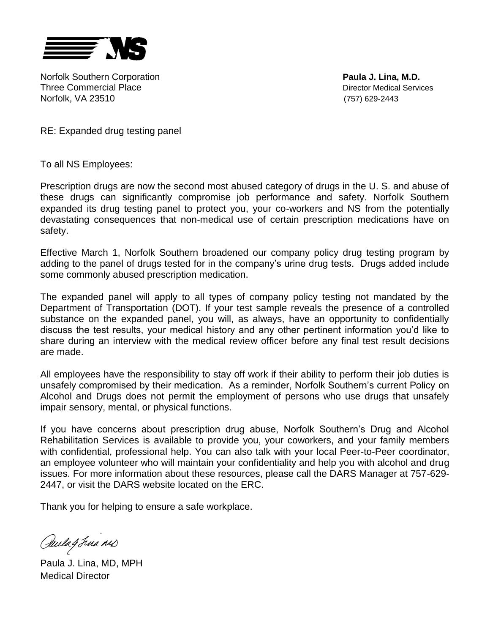

Norfolk Southern Corporation **Paula J. Lina, M.D.** Three Commercial Place **Director Medical Services** Norfolk, VA 23510 (757) 629-2443

RE: Expanded drug testing panel

To all NS Employees:

Prescription drugs are now the second most abused category of drugs in the U. S. and abuse of these drugs can significantly compromise job performance and safety. Norfolk Southern expanded its drug testing panel to protect you, your co-workers and NS from the potentially devastating consequences that non-medical use of certain prescription medications have on safety.

Effective March 1, Norfolk Southern broadened our company policy drug testing program by adding to the panel of drugs tested for in the company's urine drug tests. Drugs added include some commonly abused prescription medication.

The expanded panel will apply to all types of company policy testing not mandated by the Department of Transportation (DOT). If your test sample reveals the presence of a controlled substance on the expanded panel, you will, as always, have an opportunity to confidentially discuss the test results, your medical history and any other pertinent information you'd like to share during an interview with the medical review officer before any final test result decisions are made.

All employees have the responsibility to stay off work if their ability to perform their job duties is unsafely compromised by their medication. As a reminder, Norfolk Southern's current Policy on Alcohol and Drugs does not permit the employment of persons who use drugs that unsafely impair sensory, mental, or physical functions.

If you have concerns about prescription drug abuse, Norfolk Southern's Drug and Alcohol Rehabilitation Services is available to provide you, your coworkers, and your family members with confidential, professional help. You can also talk with your local Peer-to-Peer coordinator, an employee volunteer who will maintain your confidentiality and help you with alcohol and drug issues. For more information about these resources, please call the DARS Manager at 757-629- 2447, or visit the DARS website located on the ERC.

Thank you for helping to ensure a safe workplace.

Paulag Jua nis

Paula J. Lina, MD, MPH Medical Director